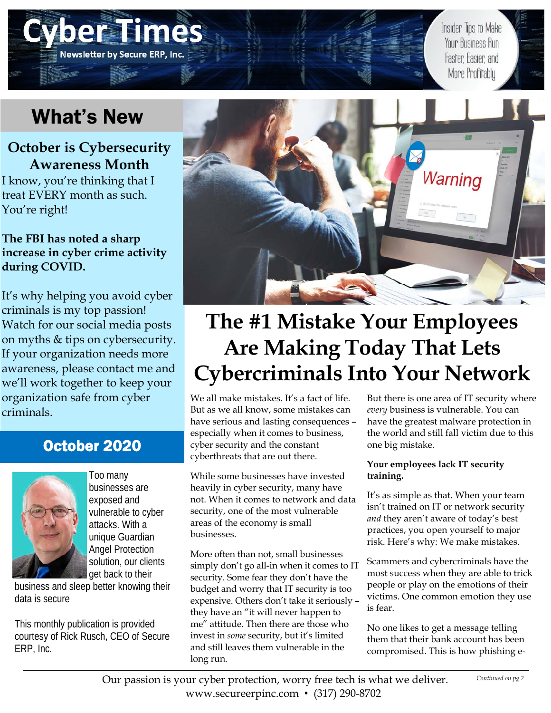# What's New

**Newsletter by Secure ERP, Inc.** 

## **October is Cybersecurity Awareness Month**

I know, you're thinking that I treat EVERY month as such. You're right!

### **The FBI has noted a sharp increase in cyber crime activity during COVID.**

It's why helping you avoid cyber criminals is my top passion! Watch for our social media posts on myths & tips on cybersecurity. If your organization needs more awareness, please contact me and we'll work together to keep your organization safe from cyber criminals.

## October 2020



Too many businesses are exposed and vulnerable to cyber attacks. With a unique Guardian Angel Protection solution, our clients get back to their

business and sleep better knowing their data is secure

This monthly publication is provided courtesy of Rick Rusch, CEO of Secure ERP, Inc.



# **The #1 Mistake Your Employees Are Making Today That Lets Cybercriminals Into Your Network**

We all make mistakes. It's a fact of life. But as we all know, some mistakes can have serious and lasting consequences – especially when it comes to business, cyber security and the constant cyberthreats that are out there.

While some businesses have invested heavily in cyber security, many have not. When it comes to network and data security, one of the most vulnerable areas of the economy is small businesses.

More often than not, small businesses simply don't go all-in when it comes to IT security. Some fear they don't have the budget and worry that IT security is too expensive. Others don't take it seriously – they have an "it will never happen to me" attitude. Then there are those who invest in *some* security, but it's limited and still leaves them vulnerable in the long run.

But there is one area of IT security where *every* business is vulnerable. You can have the greatest malware protection in the world and still fall victim due to this one big mistake.

Insider Tips to Make Your Business Run

Faster Easier and More Profitably

#### **Your employees lack IT security training.**

It's as simple as that. When your team isn't trained on IT or network security *and* they aren't aware of today's best practices, you open yourself to major risk. Here's why: We make mistakes.

Scammers and cybercriminals have the most success when they are able to trick people or play on the emotions of their victims. One common emotion they use is fear.

No one likes to get a message telling them that their bank account has been compromised. This is how phishing e-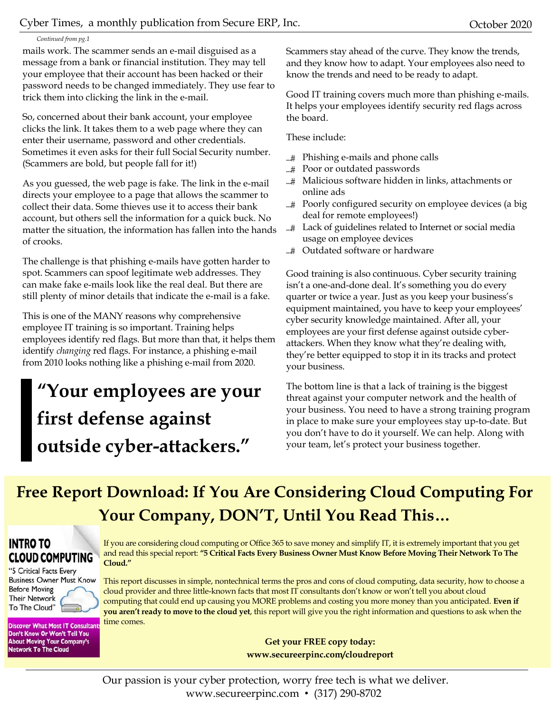#### *Continued from pg.1*

mails work. The scammer sends an e-mail disguised as a message from a bank or financial institution. They may tell your employee that their account has been hacked or their password needs to be changed immediately. They use fear to trick them into clicking the link in the e-mail.

So, concerned about their bank account, your employee clicks the link. It takes them to a web page where they can enter their username, password and other credentials. Sometimes it even asks for their full Social Security number. (Scammers are bold, but people fall for it!)

As you guessed, the web page is fake. The link in the e-mail directs your employee to a page that allows the scammer to collect their data. Some thieves use it to access their bank account, but others sell the information for a quick buck. No matter the situation, the information has fallen into the hands of crooks.

The challenge is that phishing e-mails have gotten harder to spot. Scammers can spoof legitimate web addresses. They can make fake e-mails look like the real deal. But there are still plenty of minor details that indicate the e-mail is a fake.

This is one of the MANY reasons why comprehensive employee IT training is so important. Training helps employees identify red flags. But more than that, it helps them identify *changing* red flags. For instance, a phishing e-mail from 2010 looks nothing like a phishing e-mail from 2020.

# **"Your employees are your first defense against outside cyber-attackers."**

Scammers stay ahead of the curve. They know the trends, and they know how to adapt. Your employees also need to know the trends and need to be ready to adapt.

Good IT training covers much more than phishing e-mails. It helps your employees identify security red flags across the board.

These include:

- Phishing e-mails and phone calls
- Poor or outdated passwords
- ...# Malicious software hidden in links, attachments or online ads
- Poorly configured security on employee devices (a big deal for remote employees!)
- Lack of guidelines related to Internet or social media usage on employee devices
- ...# Outdated software or hardware

Good training is also continuous. Cyber security training isn't a one-and-done deal. It's something you do every quarter or twice a year. Just as you keep your business's equipment maintained, you have to keep your employees' cyber security knowledge maintained. After all, your employees are your first defense against outside cyberattackers. When they know what they're dealing with, they're better equipped to stop it in its tracks and protect your business.

The bottom line is that a lack of training is the biggest threat against your computer network and the health of your business. You need to have a strong training program in place to make sure your employees stay up-to-date. But you don't have to do it yourself. We can help. Along with your team, let's protect your business together.

## **Free Report Download: If You Are Considering Cloud Computing For Your Company, DON'T, Until You Read This…**

### **INTRO TO CLOUD COMPUTING**

"5 Critical Facts Every **Business Owner Must Know Before Moving Their Network** To The Cloud"

**Discover What Most IT Consultant** Don't Know Or Won't Tell You **About Moving Your Company's Network To The Cloud** 

If you are considering cloud computing or Office 365 to save money and simplify IT, it is extremely important that you get and read this special report: **"5 Critical Facts Every Business Owner Must Know Before Moving Their Network To The Cloud."**

This report discusses in simple, nontechnical terms the pros and cons of cloud computing, data security, how to choose a cloud provider and three little-known facts that most IT consultants don't know or won't tell you about cloud computing that could end up causing you MORE problems and costing you more money than you anticipated. **Even if you aren't ready to move to the cloud yet**, this report will give you the right information and questions to ask when the time comes.

> **Get your FREE copy today: www.secureerpinc.com/cloudreport**

Our passion is your cyber protection, worry free tech is what we deliver. www.secureerpinc.com • (317) 290-8702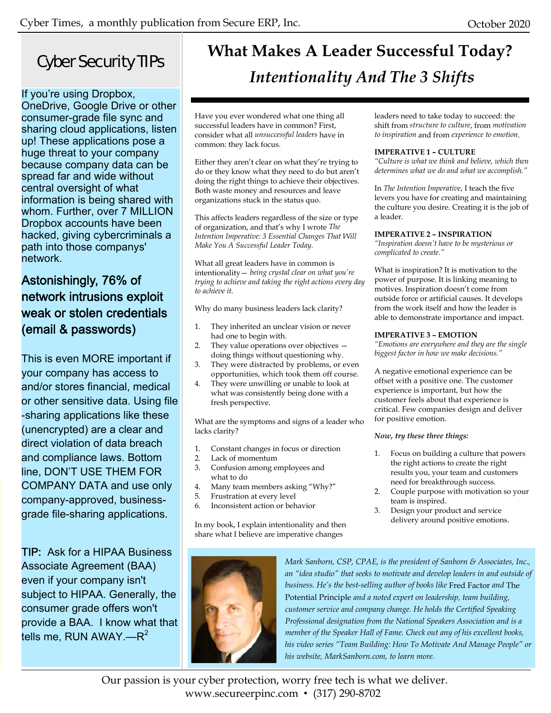## Cyber Security TIPs

If you're using Dropbox, OneDrive, Google Drive or other consumer-grade file sync and sharing cloud applications, listen up! These applications pose a huge threat to your company because company data can be spread far and wide without central oversight of what information is being shared with whom. Further, over 7 MILLION Dropbox accounts have been hacked, giving cybercriminals a path into those companys' network.

## Astonishingly, 76% of network intrusions exploit weak or stolen credentials (email & passwords)

This is even MORE important if your company has access to and/or stores financial, medical or other sensitive data. Using file -sharing applications like these (unencrypted) are a clear and direct violation of data breach and compliance laws. Bottom line, DON'T USE THEM FOR COMPANY DATA and use only company-approved, businessgrade file-sharing applications.

TIP: Ask for a HIPAA Business Associate Agreement (BAA) even if your company isn't subject to HIPAA. Generally, the consumer grade offers won't provide a BAA. I know what that tells me, RUN AWAY.— $R^2$ 

## **What Makes A Leader Successful Today?**  *Intentionality And The 3 Shifts*

Have you ever wondered what one thing all successful leaders have in common? First, consider what all *unsuccessful leaders* have in common: they lack focus.

Either they aren't clear on what they're trying to do or they know what they need to do but aren't doing the right things to achieve their objectives. Both waste money and resources and leave organizations stuck in the status quo.

This affects leaders regardless of the size or type of organization, and that's why I wrote *The Intention Imperative: 3 Essential Changes That Will Make You A Successful Leader Today.*

What all great leaders have in common is intentionality— *being crystal clear on what you're trying to achieve and taking the right actions every day to achieve it.* 

Why do many business leaders lack clarity?

- 1. They inherited an unclear vision or never had one to begin with.
- 2. They value operations over objectives doing things without questioning why.
- 3. They were distracted by problems, or even opportunities, which took them off course.
- 4. They were unwilling or unable to look at what was consistently being done with a fresh perspective.

What are the symptoms and signs of a leader who lacks clarity?

- 1. Constant changes in focus or direction
- 2. Lack of momentum
- 3. Confusion among employees and what to do
- 4. Many team members asking "Why?"
- 5. Frustration at every level
- 6. Inconsistent action or behavior

In my book, I explain intentionality and then share what I believe are imperative changes



*Mark Sanborn, CSP, CPAE, is the president of Sanborn & Associates, Inc., an "idea studio" that seeks to motivate and develop leaders in and outside of business. He's the best-selling author of books like* Fred Factor *and* The Potential Principle *and a noted expert on leadership, team building, customer service and company change. He holds the Certified Speaking Professional designation from the National Speakers Association and is a member of the Speaker Hall of Fame. Check out any of his excellent books, his video series "Team Building: How To Motivate And Manage People" or his website, MarkSanborn.com, to learn more.* 

Our passion is your cyber protection, worry free tech is what we deliver. www.secureerpinc.com • (317) 290-8702

leaders need to take today to succeed: the shift from *structure to culture*, from *motivation to inspiration* and from *experience to emotion*.

#### **IMPERATIVE 1 – CULTURE**

*"Culture is what we think and believe, which then determines what we do and what we accomplish."*

In *The Intention Imperative*, I teach the five levers you have for creating and maintaining the culture you desire. Creating it is the job of a leader.

#### **IMPERATIVE 2 – INSPIRATION**

*"Inspiration doesn't have to be mysterious or complicated to create."*

What is inspiration? It is motivation to the power of purpose. It is linking meaning to motives. Inspiration doesn't come from outside force or artificial causes. It develops from the work itself and how the leader is able to demonstrate importance and impact.

#### **IMPERATIVE 3 – EMOTION**

*"Emotions are everywhere and they are the single biggest factor in how we make decisions."*

A negative emotional experience can be offset with a positive one. The customer experience is important, but how the customer feels about that experience is critical. Few companies design and deliver for positive emotion.

#### *Now, try these three things:*

- 1. Focus on building a culture that powers the right actions to create the right results you, your team and customers need for breakthrough success.
- 2. Couple purpose with motivation so your team is inspired.
- 3. Design your product and service delivery around positive emotions.